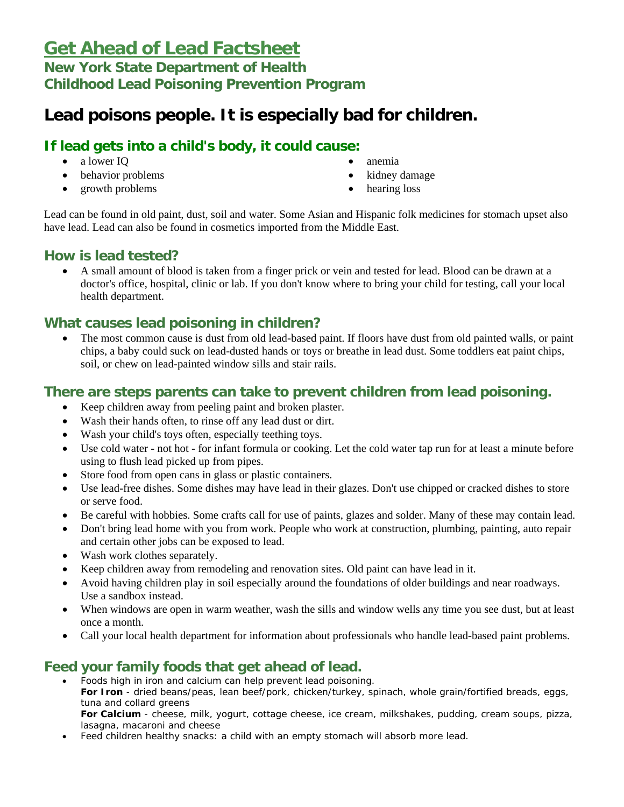# **Get Ahead of Lead Factsheet**

# **New York State Department of Health Childhood Lead Poisoning Prevention Program**

# **Lead poisons people. It is especially bad for children.**

# **If lead gets into a child's body, it could cause:**

- a lower IQ
- behavior problems
- growth problems
- anemia
- kidney damage
- hearing loss

Lead can be found in old paint, dust, soil and water. Some Asian and Hispanic folk medicines for stomach upset also have lead. Lead can also be found in cosmetics imported from the Middle East.

## **How is lead tested?**

• A small amount of blood is taken from a finger prick or vein and tested for lead. Blood can be drawn at a doctor's office, hospital, clinic or lab. If you don't know where to bring your child for testing, call your local health department.

## **What causes lead poisoning in children?**

• The most common cause is dust from old lead-based paint. If floors have dust from old painted walls, or paint chips, a baby could suck on lead-dusted hands or toys or breathe in lead dust. Some toddlers eat paint chips, soil, or chew on lead-painted window sills and stair rails.

### **There are steps parents can take to prevent children from lead poisoning.**

- Keep children away from peeling paint and broken plaster.
- Wash their hands often, to rinse off any lead dust or dirt.
- Wash your child's toys often, especially teething toys.
- Use cold water not hot for infant formula or cooking. Let the cold water tap run for at least a minute before using to flush lead picked up from pipes.
- Store food from open cans in glass or plastic containers.
- Use lead-free dishes. Some dishes may have lead in their glazes. Don't use chipped or cracked dishes to store or serve food.
- Be careful with hobbies. Some crafts call for use of paints, glazes and solder. Many of these may contain lead.
- Don't bring lead home with you from work. People who work at construction, plumbing, painting, auto repair and certain other jobs can be exposed to lead.
- Wash work clothes separately.
- Keep children away from remodeling and renovation sites. Old paint can have lead in it.
- Avoid having children play in soil especially around the foundations of older buildings and near roadways. Use a sandbox instead.
- When windows are open in warm weather, wash the sills and window wells any time you see dust, but at least once a month.
- Call your local health department for information about professionals who handle lead-based paint problems.

# **Feed your family foods that get ahead of lead.**

- Foods high in iron and calcium can help prevent lead poisoning. **For Iron** - dried beans/peas, lean beef/pork, chicken/turkey, spinach, whole grain/fortified breads, eggs, tuna and collard greens **For Calcium** - cheese, milk, yogurt, cottage cheese, ice cream, milkshakes, pudding, cream soups, pizza, lasagna, macaroni and cheese
- Feed children healthy snacks: a child with an empty stomach will absorb more lead.